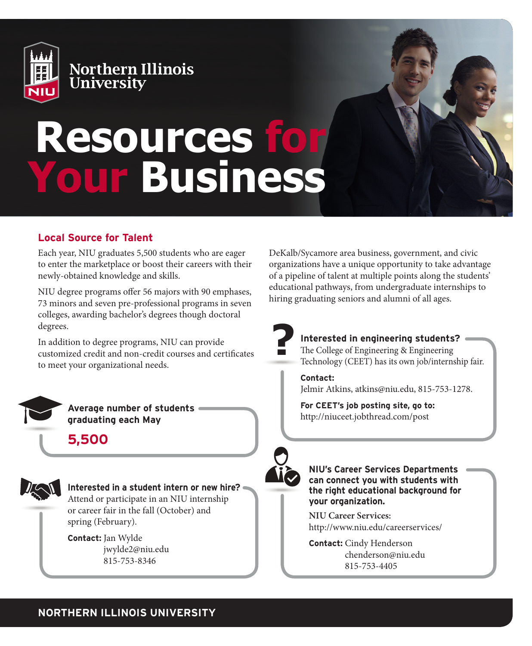

Northern Illinois<br>University

# **Resources for Your Business**

## **Local Source for Talent**

Each year, NIU graduates 5,500 students who are eager to enter the marketplace or boost their careers with their newly-obtained knowledge and skills.

NIU degree programs offer 56 majors with 90 emphases, 73 minors and seven pre-professional programs in seven colleges, awarding bachelor's degrees though doctoral degrees.

In addition to degree programs, NIU can provide customized credit and non-credit courses and certificates to meet your organizational needs.



**Average number of students graduating each May**

**5,500**



**Interested in a student intern or new hire?** Attend or participate in an NIU internship

or career fair in the fall (October) and spring (February).

**Contact:** Jan Wylde jwylde2@niu.edu 815-753-8346

DeKalb/Sycamore area business, government, and civic organizations have a unique opportunity to take advantage of a pipeline of talent at multiple points along the students' educational pathways, from undergraduate internships to hiring graduating seniors and alumni of all ages.



# **Interested in engineering students?**

The College of Engineering & Engineering Technology (CEET) has its own job/internship fair.

**Contact:** Jelmir Atkins, atkins@niu.edu, 815-753-1278.

**For CEET's job posting site, go to:** http://niuceet.jobthread.com/post

**NIU's Career Services Departments can connect you with students with the right educational background for your organization.** 

**NIU Career Services:** http://www.niu.edu/careerservices/

**Contact:** Cindy Henderson chenderson@niu.edu 815-753-4405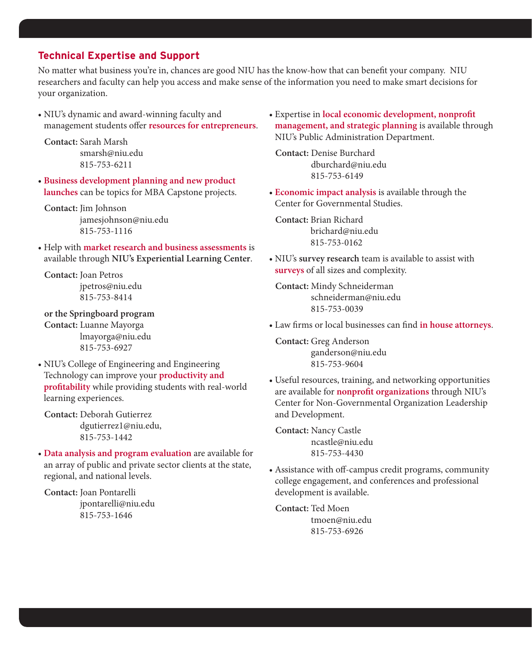#### **Technical Expertise and Support**

No matter what business you're in, chances are good NIU has the know-how that can benefit your company. NIU researchers and faculty can help you access and make sense of the information you need to make smart decisions for your organization.

• NIU's dynamic and award-winning faculty and management students offer **resources for entrepreneurs**.

**Contact:** Sarah Marsh smarsh@niu.edu 815-753-6211

• **Business development planning and new product launches** can be topics for MBA Capstone projects.

**Contact:** Jim Johnson jamesjohnson@niu.edu 815-753-1116

• Help with **market research and business assessments** is available through **NIU's Experiential Learning Center**.

**Contact:** Joan Petros jpetros@niu.edu 815-753-8414

**or the Springboard program Contact:** Luanne Mayorga lmayorga@niu.edu 815-753-6927

• NIU's College of Engineering and Engineering Technology can improve your **productivity and profitability** while providing students with real-world learning experiences.

**Contact:** Deborah Gutierrez dgutierrez1@niu.edu, 815-753-1442

• **Data analysis and program evaluation** are available for an array of public and private sector clients at the state, regional, and national levels.

**Contact:** Joan Pontarelli jpontarelli@niu.edu 815-753-1646

• Expertise in **local economic development, nonprofit management, and strategic planning** is available through NIU's Public Administration Department.

**Contact:** Denise Burchard dburchard@niu.edu 815-753-6149

• **Economic impact analysis** is available through the Center for Governmental Studies.

**Contact:** Brian Richard brichard@niu.edu 815-753-0162

• NIU's **survey research** team is available to assist with **surveys** of all sizes and complexity.

**Contact:** Mindy Schneiderman schneiderman@niu.edu 815-753-0039

• Law firms or local businesses can find **in house attorneys**.

**Contact:** Greg Anderson ganderson@niu.edu 815-753-9604

• Useful resources, training, and networking opportunities are available for **nonprofit organizations** through NIU's Center for Non-Governmental Organization Leadership and Development.

**Contact:** Nancy Castle ncastle@niu.edu 815-753-4430

• Assistance with off-campus credit programs, community college engagement, and conferences and professional development is available.

**Contact:** Ted Moen tmoen@niu.edu 815-753-6926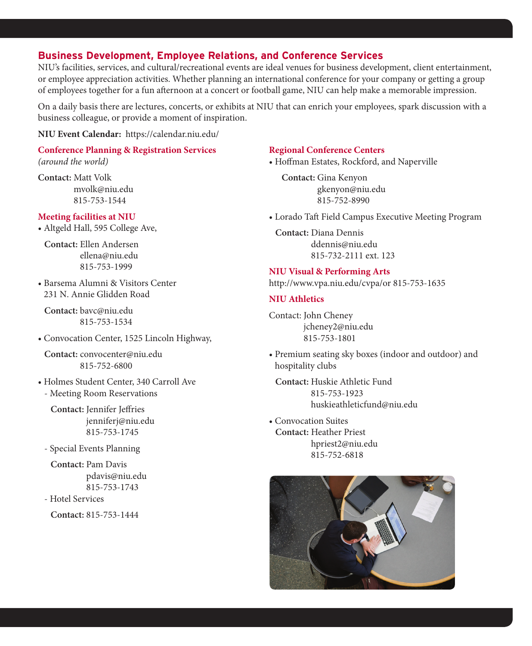#### **Business Development, Employee Relations, and Conference Services**

NIU's facilities, services, and cultural/recreational events are ideal venues for business development, client entertainment, or employee appreciation activities. Whether planning an international conference for your company or getting a group of employees together for a fun afternoon at a concert or football game, NIU can help make a memorable impression.

On a daily basis there are lectures, concerts, or exhibits at NIU that can enrich your employees, spark discussion with a business colleague, or provide a moment of inspiration.

**NIU Event Calendar:** https://calendar.niu.edu/

# **Conference Planning & Registration Services**

*(around the world)*

**Contact:** Matt Volk mvolk@niu.edu 815-753-1544

#### **Meeting facilities at NIU**

• Altgeld Hall, 595 College Ave,

**Contact:** Ellen Andersen ellena@niu.edu 815-753-1999

• Barsema Alumni & Visitors Center 231 N. Annie Glidden Road

**Contact:** bavc@niu.edu 815-753-1534

• Convocation Center, 1525 Lincoln Highway,

**Contact:** convocenter@niu.edu 815-752-6800

• Holmes Student Center, 340 Carroll Ave - Meeting Room Reservations

 **Contact:** Jennifer Jeffries jenniferj@niu.edu 815-753-1745

- Special Events Planning

 **Contact:** Pam Davis pdavis@niu.edu 815-753-1743

- Hotel Services

**Contact:** 815-753-1444

#### **Regional Conference Centers**

• Hoffman Estates, Rockford, and Naperville

 **Contact:** Gina Kenyon gkenyon@niu.edu 815-752-8990

• Lorado Taft Field Campus Executive Meeting Program

**Contact:** Diana Dennis ddennis@niu.edu 815-732-2111 ext. 123

**NIU Visual & Performing Arts**  http://www.vpa.niu.edu/cvpa/or 815-753-1635

#### **NIU Athletics**

Contact: John Cheney jcheney2@niu.edu 815-753-1801

• Premium seating sky boxes (indoor and outdoor) and hospitality clubs

**Contact:** Huskie Athletic Fund 815-753-1923 huskieathleticfund@niu.edu

• Convocation Suites **Contact:** Heather Priest hpriest2@niu.edu 815-752-6818